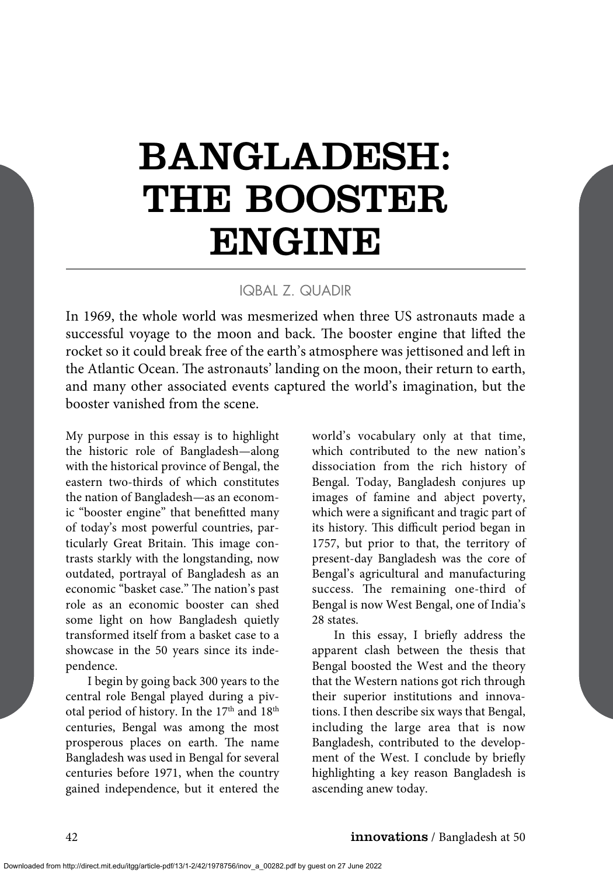# BANGLADESH: THE BOOSTER ENGINE

#### IQBAL Z. QUADIR

In 1969, the whole world was mesmerized when three US astronauts made a successful voyage to the moon and back. The booster engine that lifted the rocket so it could break free of the earth's atmosphere was jettisoned and left in the Atlantic Ocean. The astronauts' landing on the moon, their return to earth, and many other associated events captured the world's imagination, but the booster vanished from the scene.

My purpose in this essay is to highlight the historic role of Bangladesh—along with the historical province of Bengal, the eastern two-thirds of which constitutes the nation of Bangladesh—as an economic "booster engine" that benefitted many of today's most powerful countries, particularly Great Britain. This image contrasts starkly with the longstanding, now outdated, portrayal of Bangladesh as an economic "basket case." The nation's past role as an economic booster can shed some light on how Bangladesh quietly transformed itself from a basket case to a showcase in the 50 years since its independence.

I begin by going back 300 years to the central role Bengal played during a pivotal period of history. In the 17<sup>th</sup> and 18<sup>th</sup> centuries, Bengal was among the most prosperous places on earth. The name Bangladesh was used in Bengal for several centuries before 1971, when the country gained independence, but it entered the world's vocabulary only at that time, which contributed to the new nation's dissociation from the rich history of Bengal. Today, Bangladesh conjures up images of famine and abject poverty, which were a significant and tragic part of its history. This difficult period began in 1757, but prior to that, the territory of present-day Bangladesh was the core of Bengal's agricultural and manufacturing success. The remaining one-third of Bengal is now West Bengal, one of India's 28 states.

In this essay, I briefly address the apparent clash between the thesis that Bengal boosted the West and the theory that the Western nations got rich through their superior institutions and innovations. I then describe six ways that Bengal, including the large area that is now Bangladesh, contributed to the development of the West. I conclude by briefly highlighting a key reason Bangladesh is ascending anew today.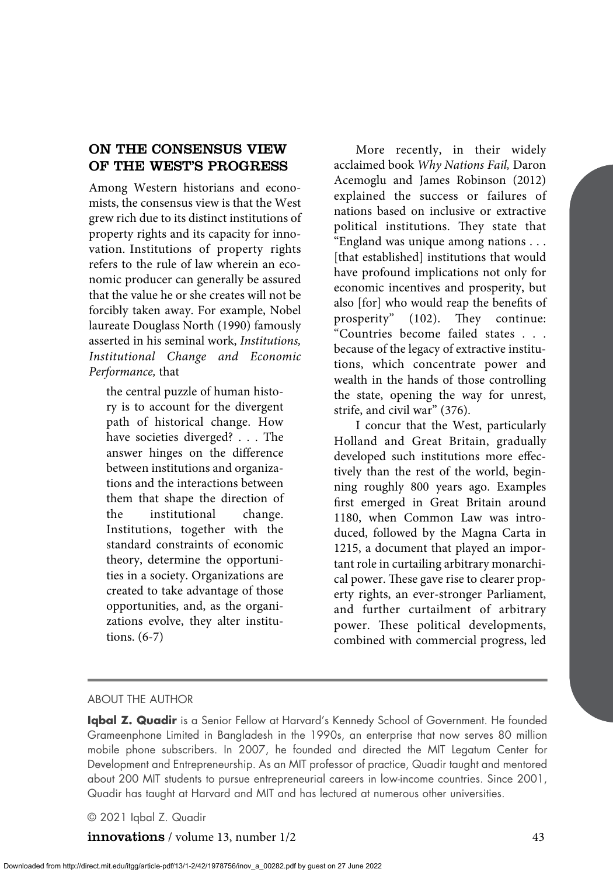# ON THE CONSENSUS VIEW OF THE WEST'S PROGRESS

Among Western historians and economists, the consensus view is that the West grew rich due to its distinct institutions of property rights and its capacity for innovation. Institutions of property rights refers to the rule of law wherein an economic producer can generally be assured that the value he or she creates will not be forcibly taken away. For example, Nobel laureate Douglass North (1990) famously asserted in his seminal work, *Institutions, Institutional Change and Economic Performance,* that

the central puzzle of human history is to account for the divergent path of historical change. How have societies diverged? . . . The answer hinges on the difference between institutions and organizations and the interactions between them that shape the direction of the institutional change. Institutions, together with the standard constraints of economic theory, determine the opportunities in a society. Organizations are created to take advantage of those opportunities, and, as the organizations evolve, they alter institutions. (6-7)

More recently, in their widely acclaimed book *Why Nations Fail,* Daron Acemoglu and James Robinson (2012) explained the success or failures of nations based on inclusive or extractive political institutions. They state that "England was unique among nations . . . [that established] institutions that would have profound implications not only for economic incentives and prosperity, but also [for] who would reap the benefits of prosperity" (102). They continue: "Countries become failed states . . . because of the legacy of extractive institutions, which concentrate power and wealth in the hands of those controlling the state, opening the way for unrest, strife, and civil war" (376).

I concur that the West, particularly Holland and Great Britain, gradually developed such institutions more effectively than the rest of the world, beginning roughly 800 years ago. Examples first emerged in Great Britain around 1180, when Common Law was introduced, followed by the Magna Carta in 1215, a document that played an important role in curtailing arbitrary monarchical power. These gave rise to clearer property rights, an ever-stronger Parliament, and further curtailment of arbitrary power. These political developments, combined with commercial progress, led

#### ABOUT THE AUTHOR

**Iqbal Z. Quadir** is a Senior Fellow at Harvard's Kennedy School of Government. He founded Grameenphone Limited in Bangladesh in the 1990s, an enterprise that now serves 80 million mobile phone subscribers. In 2007, he founded and directed the MIT Legatum Center for Development and Entrepreneurship. As an MIT professor of practice, Quadir taught and mentored about 200 MIT students to pursue entrepreneurial careers in low-income countries. Since 2001, Quadir has taught at Harvard and MIT and has lectured at numerous other universities.

#### © 2021 Iqbal Z. Quadir

**innovations** / volume 13, number 1/2 43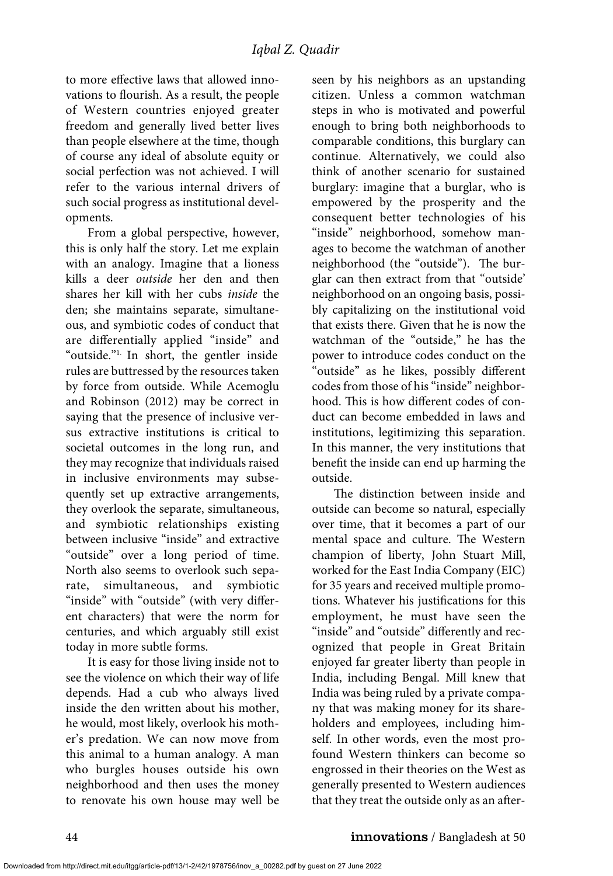to more effective laws that allowed innovations to flourish. As a result, the people of Western countries enjoyed greater freedom and generally lived better lives than people elsewhere at the time, though of course any ideal of absolute equity or social perfection was not achieved. I will refer to the various internal drivers of such social progress as institutional developments.

From a global perspective, however, this is only half the story. Let me explain with an analogy. Imagine that a lioness kills a deer *outside* her den and then shares her kill with her cubs *inside* the den; she maintains separate, simultaneous, and symbiotic codes of conduct that are differentially applied "inside" and "outside."<sup>1</sup> In short, the gentler inside rules are buttressed by the resources taken by force from outside. While Acemoglu and Robinson (2012) may be correct in saying that the presence of inclusive versus extractive institutions is critical to societal outcomes in the long run, and they may recognize that individuals raised in inclusive environments may subsequently set up extractive arrangements, they overlook the separate, simultaneous, and symbiotic relationships existing between inclusive "inside" and extractive "outside" over a long period of time. North also seems to overlook such separate, simultaneous, and symbiotic "inside" with "outside" (with very different characters) that were the norm for centuries, and which arguably still exist today in more subtle forms.

It is easy for those living inside not to see the violence on which their way of life depends. Had a cub who always lived inside the den written about his mother, he would, most likely, overlook his mother's predation. We can now move from this animal to a human analogy. A man who burgles houses outside his own neighborhood and then uses the money to renovate his own house may well be seen by his neighbors as an upstanding citizen. Unless a common watchman steps in who is motivated and powerful enough to bring both neighborhoods to comparable conditions, this burglary can continue. Alternatively, we could also think of another scenario for sustained burglary: imagine that a burglar, who is empowered by the prosperity and the consequent better technologies of his "inside" neighborhood, somehow manages to become the watchman of another neighborhood (the "outside"). The burglar can then extract from that "outside' neighborhood on an ongoing basis, possibly capitalizing on the institutional void that exists there. Given that he is now the watchman of the "outside," he has the power to introduce codes conduct on the "outside" as he likes, possibly different codes from those of his "inside" neighborhood. This is how different codes of conduct can become embedded in laws and institutions, legitimizing this separation. In this manner, the very institutions that benefit the inside can end up harming the outside.

The distinction between inside and outside can become so natural, especially over time, that it becomes a part of our mental space and culture. The Western champion of liberty, John Stuart Mill, worked for the East India Company (EIC) for 35 years and received multiple promotions. Whatever his justifications for this employment, he must have seen the "inside" and "outside" differently and recognized that people in Great Britain enjoyed far greater liberty than people in India, including Bengal. Mill knew that India was being ruled by a private company that was making money for its shareholders and employees, including himself. In other words, even the most profound Western thinkers can become so engrossed in their theories on the West as generally presented to Western audiences that they treat the outside only as an after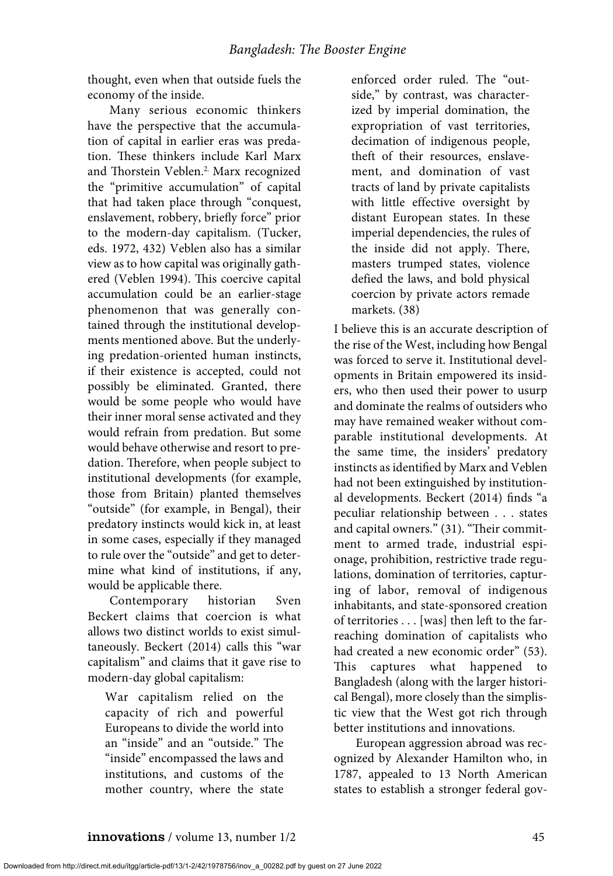thought, even when that outside fuels the economy of the inside.

Many serious economic thinkers have the perspective that the accumulation of capital in earlier eras was predation. These thinkers include Karl Marx and Thorstein Veblen.<sup>2.</sup> Marx recognized the "primitive accumulation" of capital that had taken place through "conquest, enslavement, robbery, briefly force" prior to the modern-day capitalism. (Tucker, eds. 1972, 432) Veblen also has a similar view as to how capital was originally gathered (Veblen 1994). This coercive capital accumulation could be an earlier-stage phenomenon that was generally contained through the institutional developments mentioned above. But the underlying predation-oriented human instincts, if their existence is accepted, could not possibly be eliminated. Granted, there would be some people who would have their inner moral sense activated and they would refrain from predation. But some would behave otherwise and resort to predation. Therefore, when people subject to institutional developments (for example, those from Britain) planted themselves "outside" (for example, in Bengal), their predatory instincts would kick in, at least in some cases, especially if they managed to rule over the "outside" and get to determine what kind of institutions, if any, would be applicable there.

Contemporary historian Sven Beckert claims that coercion is what allows two distinct worlds to exist simultaneously. Beckert (2014) calls this "war capitalism" and claims that it gave rise to modern-day global capitalism:

War capitalism relied on the capacity of rich and powerful Europeans to divide the world into an "inside" and an "outside." The "inside" encompassed the laws and institutions, and customs of the mother country, where the state enforced order ruled. The "outside," by contrast, was characterized by imperial domination, the expropriation of vast territories, decimation of indigenous people, theft of their resources, enslavement, and domination of vast tracts of land by private capitalists with little effective oversight by distant European states. In these imperial dependencies, the rules of the inside did not apply. There, masters trumped states, violence defied the laws, and bold physical coercion by private actors remade markets. (38)

I believe this is an accurate description of the rise of the West, including how Bengal was forced to serve it. Institutional developments in Britain empowered its insiders, who then used their power to usurp and dominate the realms of outsiders who may have remained weaker without comparable institutional developments. At the same time, the insiders' predatory instincts as identified by Marx and Veblen had not been extinguished by institutional developments. Beckert (2014) finds "a peculiar relationship between . . . states and capital owners." (31). "Their commitment to armed trade, industrial espionage, prohibition, restrictive trade regulations, domination of territories, capturing of labor, removal of indigenous inhabitants, and state-sponsored creation of territories . . . [was] then left to the farreaching domination of capitalists who had created a new economic order" (53). This captures what happened to Bangladesh (along with the larger historical Bengal), more closely than the simplistic view that the West got rich through better institutions and innovations.

European aggression abroad was recognized by Alexander Hamilton who, in 1787, appealed to 13 North American states to establish a stronger federal gov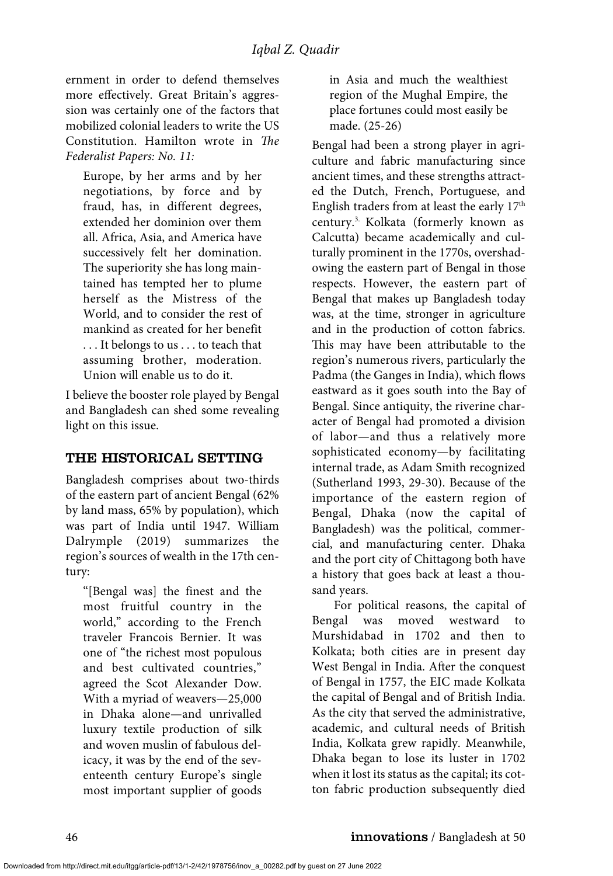ernment in order to defend themselves more effectively. Great Britain's aggression was certainly one of the factors that mobilized colonial leaders to write the US Constitution. Hamilton wrote in *The Federalist Papers: No. 11:*

Europe, by her arms and by her negotiations, by force and by fraud, has, in different degrees, extended her dominion over them all. Africa, Asia, and America have successively felt her domination. The superiority she has long maintained has tempted her to plume herself as the Mistress of the World, and to consider the rest of mankind as created for her benefit . . . It belongs to us . . . to teach that assuming brother, moderation. Union will enable us to do it.

I believe the booster role played by Bengal and Bangladesh can shed some revealing light on this issue.

# THE HISTORICAL SETTING

Bangladesh comprises about two-thirds of the eastern part of ancient Bengal (62% by land mass, 65% by population), which was part of India until 1947. William Dalrymple (2019) summarizes the region's sources of wealth in the 17th century:

"[Bengal was] the finest and the most fruitful country in the world," according to the French traveler Francois Bernier. It was one of "the richest most populous and best cultivated countries," agreed the Scot Alexander Dow. With a myriad of weavers—25,000 in Dhaka alone—and unrivalled luxury textile production of silk and woven muslin of fabulous delicacy, it was by the end of the seventeenth century Europe's single most important supplier of goods in Asia and much the wealthiest region of the Mughal Empire, the place fortunes could most easily be made. (25-26)

Bengal had been a strong player in agriculture and fabric manufacturing since ancient times, and these strengths attracted the Dutch, French, Portuguese, and English traders from at least the early 17<sup>th</sup> century.3. Kolkata (formerly known as Calcutta) became academically and culturally prominent in the 1770s, overshadowing the eastern part of Bengal in those respects. However, the eastern part of Bengal that makes up Bangladesh today was, at the time, stronger in agriculture and in the production of cotton fabrics. This may have been attributable to the region's numerous rivers, particularly the Padma (the Ganges in India), which flows eastward as it goes south into the Bay of Bengal. Since antiquity, the riverine character of Bengal had promoted a division of labor—and thus a relatively more sophisticated economy—by facilitating internal trade, as Adam Smith recognized (Sutherland 1993, 29-30). Because of the importance of the eastern region of Bengal, Dhaka (now the capital of Bangladesh) was the political, commercial, and manufacturing center. Dhaka and the port city of Chittagong both have a history that goes back at least a thousand years.

For political reasons, the capital of Bengal was moved westward to Murshidabad in 1702 and then to Kolkata; both cities are in present day West Bengal in India. After the conquest of Bengal in 1757, the EIC made Kolkata the capital of Bengal and of British India. As the city that served the administrative, academic, and cultural needs of British India, Kolkata grew rapidly. Meanwhile, Dhaka began to lose its luster in 1702 when it lost its status as the capital; its cotton fabric production subsequently died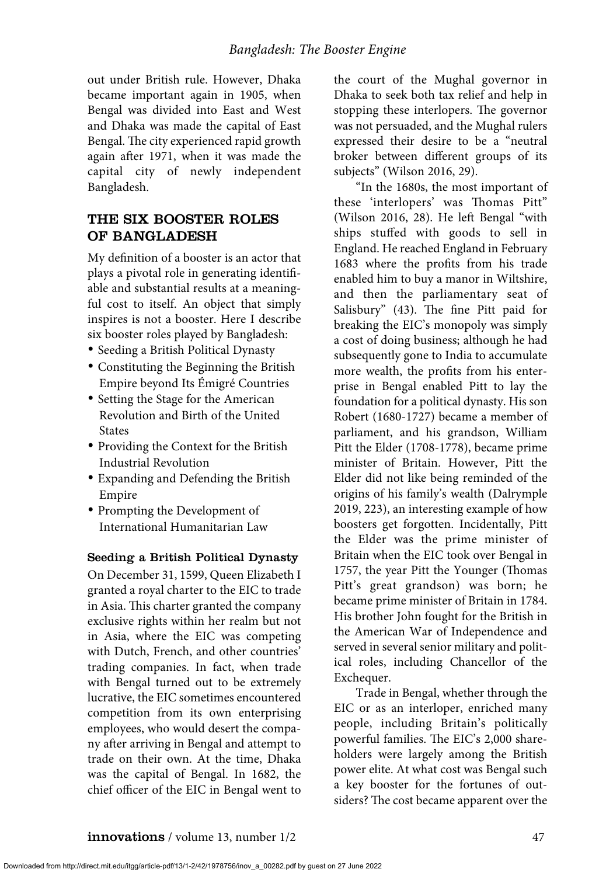out under British rule. However, Dhaka became important again in 1905, when Bengal was divided into East and West and Dhaka was made the capital of East Bengal. The city experienced rapid growth again after 1971, when it was made the capital city of newly independent Bangladesh.

# THE SIX BOOSTER ROLES OF BANGLADESH

My definition of a booster is an actor that plays a pivotal role in generating identifiable and substantial results at a meaningful cost to itself. An object that simply inspires is not a booster. Here I describe six booster roles played by Bangladesh:

- Seeding a British Political Dynasty
- Constituting the Beginning the British Empire beyond Its Émigré Countries
- Setting the Stage for the American Revolution and Birth of the United States
- Providing the Context for the British Industrial Revolution
- Expanding and Defending the British Empire
- Prompting the Development of International Humanitarian Law

#### Seeding a British Political Dynasty

On December 31, 1599, Queen Elizabeth I granted a royal charter to the EIC to trade in Asia. This charter granted the company exclusive rights within her realm but not in Asia, where the EIC was competing with Dutch, French, and other countries' trading companies. In fact, when trade with Bengal turned out to be extremely lucrative, the EIC sometimes encountered competition from its own enterprising employees, who would desert the company after arriving in Bengal and attempt to trade on their own. At the time, Dhaka was the capital of Bengal. In 1682, the chief officer of the EIC in Bengal went to

the court of the Mughal governor in Dhaka to seek both tax relief and help in stopping these interlopers. The governor was not persuaded, and the Mughal rulers expressed their desire to be a "neutral broker between different groups of its subjects" (Wilson 2016, 29).

"In the 1680s, the most important of these 'interlopers' was Thomas Pitt" (Wilson 2016, 28). He left Bengal "with ships stuffed with goods to sell in England. He reached England in February 1683 where the profits from his trade enabled him to buy a manor in Wiltshire, and then the parliamentary seat of Salisbury" (43). The fine Pitt paid for breaking the EIC's monopoly was simply a cost of doing business; although he had subsequently gone to India to accumulate more wealth, the profits from his enterprise in Bengal enabled Pitt to lay the foundation for a political dynasty. His son Robert (1680-1727) became a member of parliament, and his grandson, William Pitt the Elder (1708-1778), became prime minister of Britain. However, Pitt the Elder did not like being reminded of the origins of his family's wealth (Dalrymple 2019, 223), an interesting example of how boosters get forgotten. Incidentally, Pitt the Elder was the prime minister of Britain when the EIC took over Bengal in 1757, the year Pitt the Younger (Thomas Pitt's great grandson) was born; he became prime minister of Britain in 1784. His brother John fought for the British in the American War of Independence and served in several senior military and political roles, including Chancellor of the Exchequer.

Trade in Bengal, whether through the EIC or as an interloper, enriched many people, including Britain's politically powerful families. The EIC's 2,000 shareholders were largely among the British power elite. At what cost was Bengal such a key booster for the fortunes of outsiders? The cost became apparent over the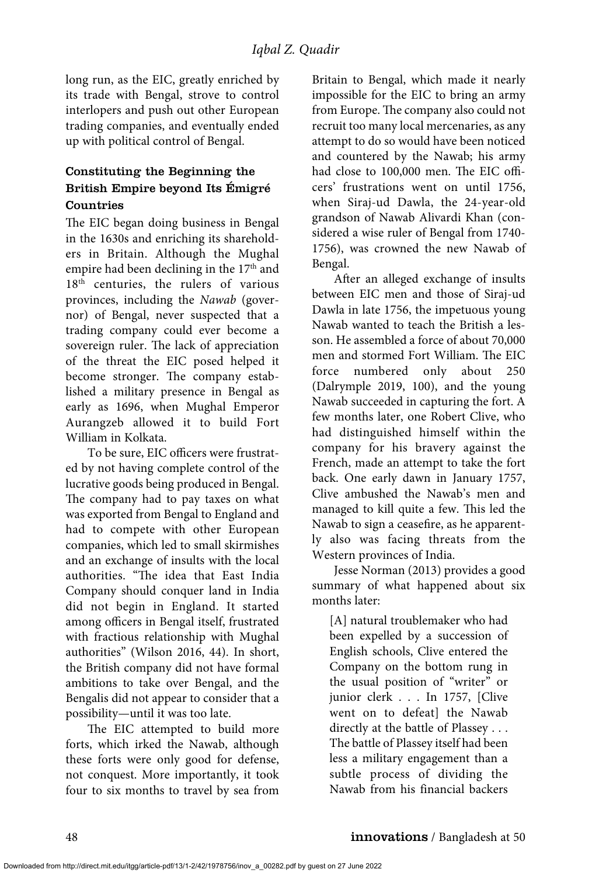long run, as the EIC, greatly enriched by its trade with Bengal, strove to control interlopers and push out other European trading companies, and eventually ended up with political control of Bengal.

# Constituting the Beginning the British Empire beyond Its Émigré Countries

The EIC began doing business in Bengal in the 1630s and enriching its shareholders in Britain. Although the Mughal empire had been declining in the  $17<sup>th</sup>$  and 18<sup>th</sup> centuries, the rulers of various provinces, including the *Nawab* (governor) of Bengal, never suspected that a trading company could ever become a sovereign ruler. The lack of appreciation of the threat the EIC posed helped it become stronger. The company established a military presence in Bengal as early as 1696, when Mughal Emperor Aurangzeb allowed it to build Fort William in Kolkata.

To be sure, EIC officers were frustrated by not having complete control of the lucrative goods being produced in Bengal. The company had to pay taxes on what was exported from Bengal to England and had to compete with other European companies, which led to small skirmishes and an exchange of insults with the local authorities. "The idea that East India Company should conquer land in India did not begin in England. It started among officers in Bengal itself, frustrated with fractious relationship with Mughal authorities" (Wilson 2016, 44). In short, the British company did not have formal ambitions to take over Bengal, and the Bengalis did not appear to consider that a possibility—until it was too late.

The EIC attempted to build more forts, which irked the Nawab, although these forts were only good for defense, not conquest. More importantly, it took four to six months to travel by sea from

Britain to Bengal, which made it nearly impossible for the EIC to bring an army from Europe. The company also could not recruit too many local mercenaries, as any attempt to do so would have been noticed and countered by the Nawab; his army had close to 100,000 men. The EIC officers' frustrations went on until 1756, when Siraj-ud Dawla, the 24-year-old grandson of Nawab Alivardi Khan (considered a wise ruler of Bengal from 1740- 1756), was crowned the new Nawab of Bengal.

After an alleged exchange of insults between EIC men and those of Siraj-ud Dawla in late 1756, the impetuous young Nawab wanted to teach the British a lesson. He assembled a force of about 70,000 men and stormed Fort William. The EIC force numbered only about 250 (Dalrymple 2019, 100), and the young Nawab succeeded in capturing the fort. A few months later, one Robert Clive, who had distinguished himself within the company for his bravery against the French, made an attempt to take the fort back. One early dawn in January 1757, Clive ambushed the Nawab's men and managed to kill quite a few. This led the Nawab to sign a ceasefire, as he apparently also was facing threats from the Western provinces of India.

Jesse Norman (2013) provides a good summary of what happened about six months later:

[A] natural troublemaker who had been expelled by a succession of English schools, Clive entered the Company on the bottom rung in the usual position of "writer" or junior clerk . . . In 1757, [Clive went on to defeat] the Nawab directly at the battle of Plassey . . . The battle of Plassey itself had been less a military engagement than a subtle process of dividing the Nawab from his financial backers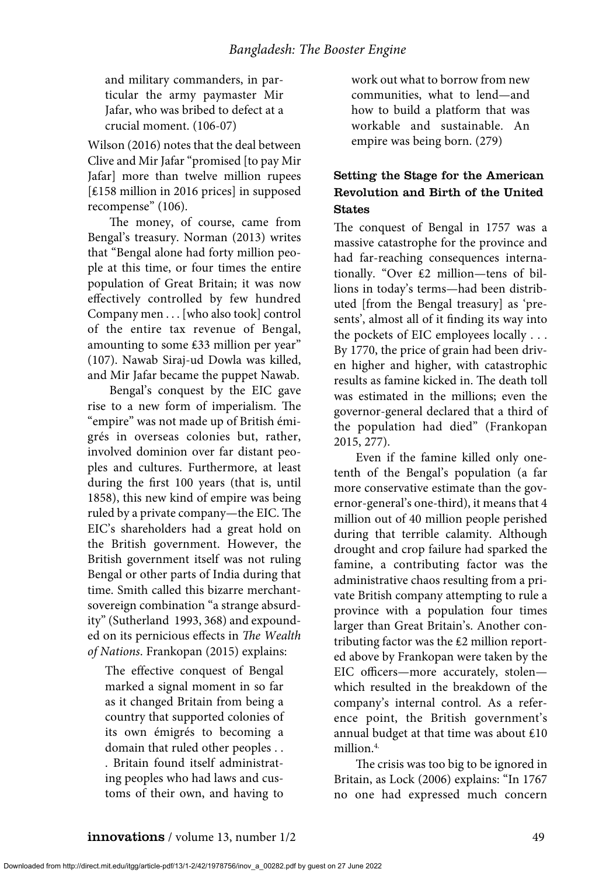and military commanders, in particular the army paymaster Mir Jafar, who was bribed to defect at a crucial moment. (106-07)

Wilson (2016) notes that the deal between Clive and Mir Jafar "promised [to pay Mir Jafar] more than twelve million rupees [₤158 million in 2016 prices] in supposed recompense" (106).

The money, of course, came from Bengal's treasury. Norman (2013) writes that "Bengal alone had forty million people at this time, or four times the entire population of Great Britain; it was now effectively controlled by few hundred Company men . . . [who also took] control of the entire tax revenue of Bengal, amounting to some ₤33 million per year" (107). Nawab Siraj-ud Dowla was killed, and Mir Jafar became the puppet Nawab.

Bengal's conquest by the EIC gave rise to a new form of imperialism. The "empire" was not made up of British émigrés in overseas colonies but, rather, involved dominion over far distant peoples and cultures. Furthermore, at least during the first 100 years (that is, until 1858), this new kind of empire was being ruled by a private company—the EIC. The EIC's shareholders had a great hold on the British government. However, the British government itself was not ruling Bengal or other parts of India during that time. Smith called this bizarre merchantsovereign combination "a strange absurdity" (Sutherland 1993, 368) and expounded on its pernicious effects in *The Wealth of Nations*. Frankopan (2015) explains:

The effective conquest of Bengal marked a signal moment in so far as it changed Britain from being a country that supported colonies of its own émigrés to becoming a domain that ruled other peoples . . . Britain found itself administrating peoples who had laws and customs of their own, and having to

work out what to borrow from new communities, what to lend—and how to build a platform that was workable and sustainable. An empire was being born. (279)

# Setting the Stage for the American Revolution and Birth of the United States

The conquest of Bengal in 1757 was a massive catastrophe for the province and had far-reaching consequences internationally. "Over ₤2 million—tens of billions in today's terms—had been distributed [from the Bengal treasury] as 'presents', almost all of it finding its way into the pockets of EIC employees locally . . . By 1770, the price of grain had been driven higher and higher, with catastrophic results as famine kicked in. The death toll was estimated in the millions; even the governor-general declared that a third of the population had died" (Frankopan 2015, 277).

Even if the famine killed only onetenth of the Bengal's population (a far more conservative estimate than the governor-general's one-third), it means that 4 million out of 40 million people perished during that terrible calamity. Although drought and crop failure had sparked the famine, a contributing factor was the administrative chaos resulting from a private British company attempting to rule a province with a population four times larger than Great Britain's. Another contributing factor was the ₤2 million reported above by Frankopan were taken by the EIC officers—more accurately, stolen which resulted in the breakdown of the company's internal control. As a reference point, the British government's annual budget at that time was about ₤10 million.<sup>4.</sup>

The crisis was too big to be ignored in Britain, as Lock (2006) explains: "In 1767 no one had expressed much concern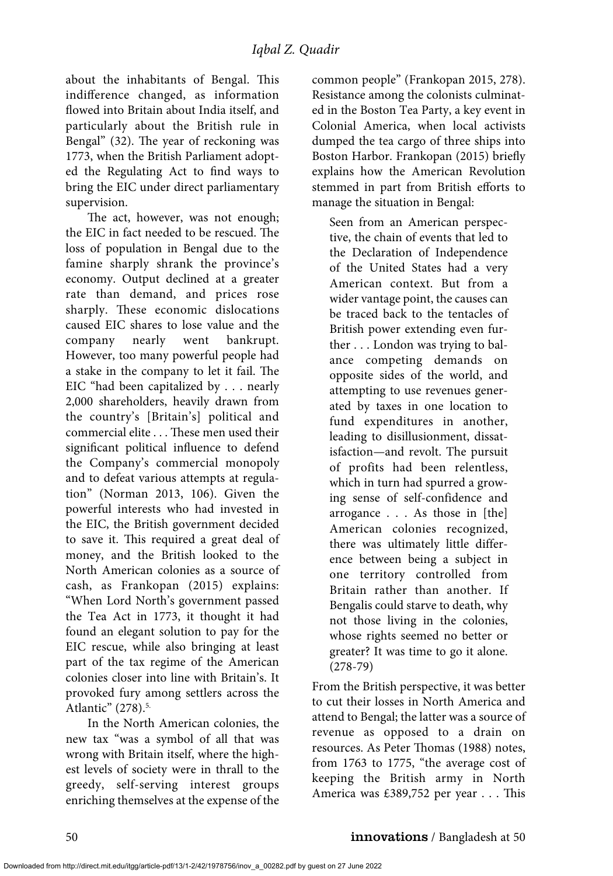about the inhabitants of Bengal. This indifference changed, as information flowed into Britain about India itself, and particularly about the British rule in Bengal" (32). The year of reckoning was 1773, when the British Parliament adopted the Regulating Act to find ways to bring the EIC under direct parliamentary supervision.

The act, however, was not enough; the EIC in fact needed to be rescued. The loss of population in Bengal due to the famine sharply shrank the province's economy. Output declined at a greater rate than demand, and prices rose sharply. These economic dislocations caused EIC shares to lose value and the company nearly went bankrupt. However, too many powerful people had a stake in the company to let it fail. The EIC "had been capitalized by . . . nearly 2,000 shareholders, heavily drawn from the country's [Britain's] political and commercial elite . . . These men used their significant political influence to defend the Company's commercial monopoly and to defeat various attempts at regulation" (Norman 2013, 106). Given the powerful interests who had invested in the EIC, the British government decided to save it. This required a great deal of money, and the British looked to the North American colonies as a source of cash, as Frankopan (2015) explains: "When Lord North's government passed the Tea Act in 1773, it thought it had found an elegant solution to pay for the EIC rescue, while also bringing at least part of the tax regime of the American colonies closer into line with Britain's. It provoked fury among settlers across the Atlantic" (278).<sup>5.</sup>

In the North American colonies, the new tax "was a symbol of all that was wrong with Britain itself, where the highest levels of society were in thrall to the greedy, self-serving interest groups enriching themselves at the expense of the common people" (Frankopan 2015, 278). Resistance among the colonists culminated in the Boston Tea Party, a key event in Colonial America, when local activists dumped the tea cargo of three ships into Boston Harbor. Frankopan (2015) briefly explains how the American Revolution stemmed in part from British efforts to manage the situation in Bengal:

Seen from an American perspective, the chain of events that led to the Declaration of Independence of the United States had a very American context. But from a wider vantage point, the causes can be traced back to the tentacles of British power extending even further . . . London was trying to balance competing demands on opposite sides of the world, and attempting to use revenues generated by taxes in one location to fund expenditures in another, leading to disillusionment, dissatisfaction—and revolt. The pursuit of profits had been relentless, which in turn had spurred a growing sense of self-confidence and arrogance . . . As those in [the] American colonies recognized, there was ultimately little difference between being a subject in one territory controlled from Britain rather than another. If Bengalis could starve to death, why not those living in the colonies, whose rights seemed no better or greater? It was time to go it alone. (278-79)

From the British perspective, it was better to cut their losses in North America and attend to Bengal; the latter was a source of revenue as opposed to a drain on resources. As Peter Thomas (1988) notes, from 1763 to 1775, "the average cost of keeping the British army in North America was £389,752 per year . . . This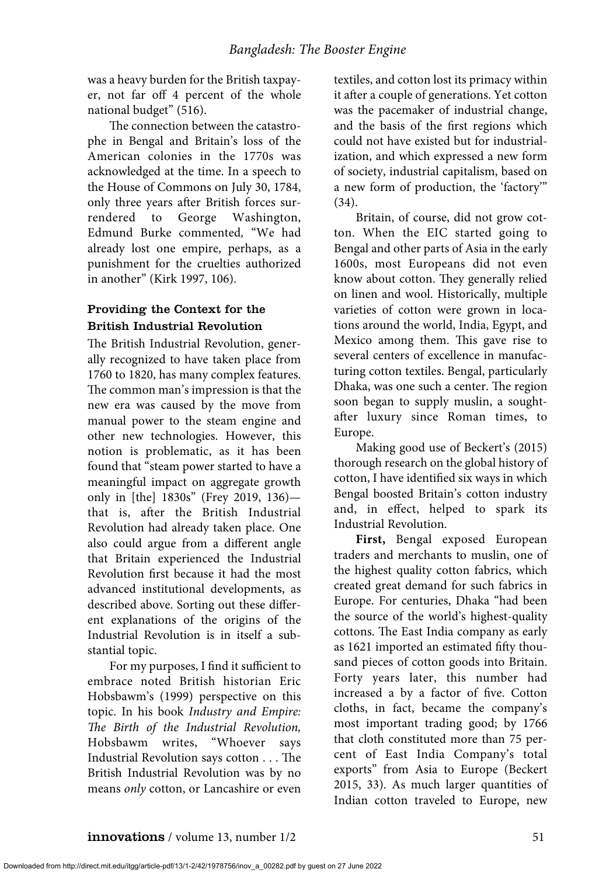was a heavy burden for the British taxpayer, not far off 4 percent of the whole national budget" (516).

The connection between the catastrophe in Bengal and Britain's loss of the American colonies in the 1770s was acknowledged at the time. In a speech to the House of Commons on July 30, 1784, only three years after British forces surrendered to George Washington, Edmund Burke commented*,* "We had already lost one empire, perhaps, as a punishment for the cruelties authorized in another" (Kirk 1997, 106).

# Providing the Context for the British Industrial Revolution

The British Industrial Revolution, generally recognized to have taken place from 1760 to 1820, has many complex features. The common man's impression is that the new era was caused by the move from manual power to the steam engine and other new technologies. However, this notion is problematic, as it has been found that "steam power started to have a meaningful impact on aggregate growth only in [the] 1830s" (Frey 2019, 136) that is, after the British Industrial Revolution had already taken place. One also could argue from a different angle that Britain experienced the Industrial Revolution first because it had the most advanced institutional developments, as described above. Sorting out these different explanations of the origins of the Industrial Revolution is in itself a substantial topic.

For my purposes, I find it sufficient to embrace noted British historian Eric Hobsbawm's (1999) perspective on this topic. In his book *Industry and Empire: The Birth of the Industrial Revolution,* Hobsbawm writes, "Whoever says Industrial Revolution says cotton . . . The British Industrial Revolution was by no means *only* cotton, or Lancashire or even textiles, and cotton lost its primacy within it after a couple of generations. Yet cotton was the pacemaker of industrial change, and the basis of the first regions which could not have existed but for industrialization, and which expressed a new form of society, industrial capitalism, based on a new form of production, the 'factory'" (34).

Britain, of course, did not grow cotton. When the EIC started going to Bengal and other parts of Asia in the early 1600s, most Europeans did not even know about cotton. They generally relied on linen and wool. Historically, multiple varieties of cotton were grown in locations around the world, India, Egypt, and Mexico among them. This gave rise to several centers of excellence in manufacturing cotton textiles. Bengal, particularly Dhaka, was one such a center. The region soon began to supply muslin, a soughtafter luxury since Roman times, to Europe.

Making good use of Beckert's (2015) thorough research on the global history of cotton, I have identified six ways in which Bengal boosted Britain's cotton industry and, in effect, helped to spark its Industrial Revolution.

**First,** Bengal exposed European traders and merchants to muslin, one of the highest quality cotton fabrics, which created great demand for such fabrics in Europe. For centuries, Dhaka "had been the source of the world's highest-quality cottons. The East India company as early as 1621 imported an estimated fifty thousand pieces of cotton goods into Britain. Forty years later, this number had increased a by a factor of five. Cotton cloths, in fact, became the company's most important trading good; by 1766 that cloth constituted more than 75 percent of East India Company's total exports" from Asia to Europe (Beckert 2015, 33). As much larger quantities of Indian cotton traveled to Europe, new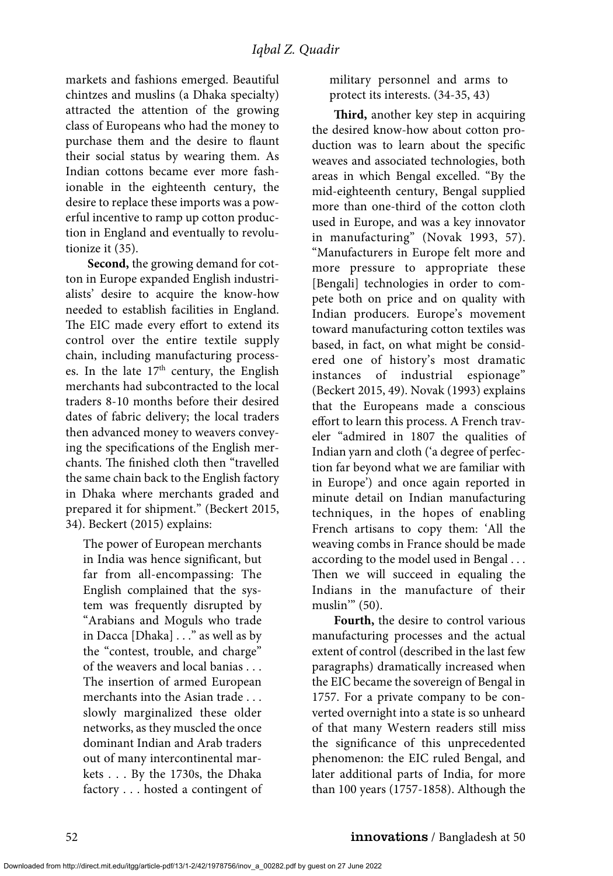markets and fashions emerged. Beautiful chintzes and muslins (a Dhaka specialty) attracted the attention of the growing class of Europeans who had the money to purchase them and the desire to flaunt their social status by wearing them. As Indian cottons became ever more fashionable in the eighteenth century, the desire to replace these imports was a powerful incentive to ramp up cotton production in England and eventually to revolutionize it (35).

**Second,** the growing demand for cotton in Europe expanded English industrialists' desire to acquire the know-how needed to establish facilities in England. The EIC made every effort to extend its control over the entire textile supply chain, including manufacturing processes. In the late  $17<sup>th</sup>$  century, the English merchants had subcontracted to the local traders 8-10 months before their desired dates of fabric delivery; the local traders then advanced money to weavers conveying the specifications of the English merchants. The finished cloth then "travelled the same chain back to the English factory in Dhaka where merchants graded and prepared it for shipment." (Beckert 2015, 34). Beckert (2015) explains:

The power of European merchants in India was hence significant, but far from all-encompassing: The English complained that the system was frequently disrupted by "Arabians and Moguls who trade in Dacca [Dhaka] . . ." as well as by the "contest, trouble, and charge" of the weavers and local banias . . . The insertion of armed European merchants into the Asian trade . . . slowly marginalized these older networks, as they muscled the once dominant Indian and Arab traders out of many intercontinental markets . . . By the 1730s, the Dhaka factory . . . hosted a contingent of military personnel and arms to protect its interests. (34-35, 43)

**Third,** another key step in acquiring the desired know-how about cotton production was to learn about the specific weaves and associated technologies, both areas in which Bengal excelled. "By the mid-eighteenth century, Bengal supplied more than one-third of the cotton cloth used in Europe, and was a key innovator in manufacturing" (Novak 1993, 57). "Manufacturers in Europe felt more and more pressure to appropriate these [Bengali] technologies in order to compete both on price and on quality with Indian producers. Europe's movement toward manufacturing cotton textiles was based, in fact, on what might be considered one of history's most dramatic instances of industrial espionage" (Beckert 2015, 49). Novak (1993) explains that the Europeans made a conscious effort to learn this process. A French traveler "admired in 1807 the qualities of Indian yarn and cloth ('a degree of perfection far beyond what we are familiar with in Europe') and once again reported in minute detail on Indian manufacturing techniques, in the hopes of enabling French artisans to copy them: 'All the weaving combs in France should be made according to the model used in Bengal . . . Then we will succeed in equaling the Indians in the manufacture of their muslin<sup>"</sup> (50).

**Fourth,** the desire to control various manufacturing processes and the actual extent of control (described in the last few paragraphs) dramatically increased when the EIC became the sovereign of Bengal in 1757. For a private company to be converted overnight into a state is so unheard of that many Western readers still miss the significance of this unprecedented phenomenon: the EIC ruled Bengal, and later additional parts of India, for more than 100 years (1757-1858). Although the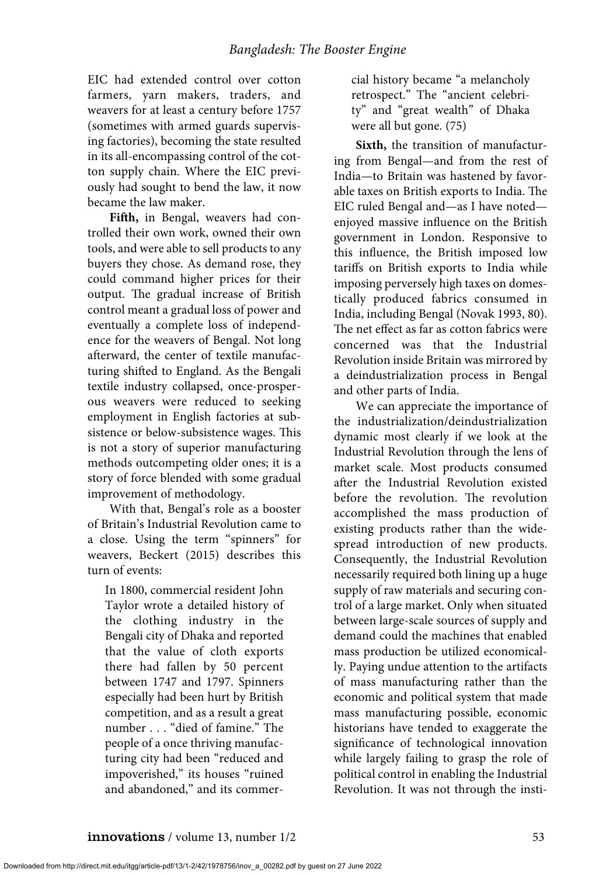EIC had extended control over cotton farmers, yarn makers, traders, and weavers for at least a century before 1757 (sometimes with armed guards supervising factories), becoming the state resulted in its all-encompassing control of the cotton supply chain. Where the EIC previously had sought to bend the law, it now became the law maker.

**Fifth,** in Bengal, weavers had controlled their own work, owned their own tools, and were able to sell products to any buyers they chose. As demand rose, they could command higher prices for their output. The gradual increase of British control meant a gradual loss of power and eventually a complete loss of independence for the weavers of Bengal. Not long afterward, the center of textile manufacturing shifted to England. As the Bengali textile industry collapsed, once-prosperous weavers were reduced to seeking employment in English factories at subsistence or below-subsistence wages. This is not a story of superior manufacturing methods outcompeting older ones; it is a story of force blended with some gradual improvement of methodology.

With that, Bengal's role as a booster of Britain's Industrial Revolution came to a close. Using the term "spinners" for weavers, Beckert (2015) describes this turn of events:

In 1800, commercial resident John Taylor wrote a detailed history of the clothing industry in the Bengali city of Dhaka and reported that the value of cloth exports there had fallen by 50 percent between 1747 and 1797. Spinners especially had been hurt by British competition, and as a result a great number . . . "died of famine." The people of a once thriving manufacturing city had been "reduced and impoverished," its houses "ruined and abandoned," and its commercial history became "a melancholy retrospect." The "ancient celebrity" and "great wealth" of Dhaka were all but gone. (75)

**Sixth,** the transition of manufacturing from Bengal—and from the rest of India—to Britain was hastened by favorable taxes on British exports to India. The EIC ruled Bengal and—as I have noted enjoyed massive influence on the British government in London. Responsive to this influence, the British imposed low tariffs on British exports to India while imposing perversely high taxes on domestically produced fabrics consumed in India, including Bengal (Novak 1993, 80). The net effect as far as cotton fabrics were concerned was that the Industrial Revolution inside Britain was mirrored by a deindustrialization process in Bengal and other parts of India.

We can appreciate the importance of the industrialization/deindustrialization dynamic most clearly if we look at the Industrial Revolution through the lens of market scale. Most products consumed after the Industrial Revolution existed before the revolution. The revolution accomplished the mass production of existing products rather than the widespread introduction of new products. Consequently, the Industrial Revolution necessarily required both lining up a huge supply of raw materials and securing control of a large market. Only when situated between large-scale sources of supply and demand could the machines that enabled mass production be utilized economically. Paying undue attention to the artifacts of mass manufacturing rather than the economic and political system that made mass manufacturing possible, economic historians have tended to exaggerate the significance of technological innovation while largely failing to grasp the role of political control in enabling the Industrial Revolution. It was not through the insti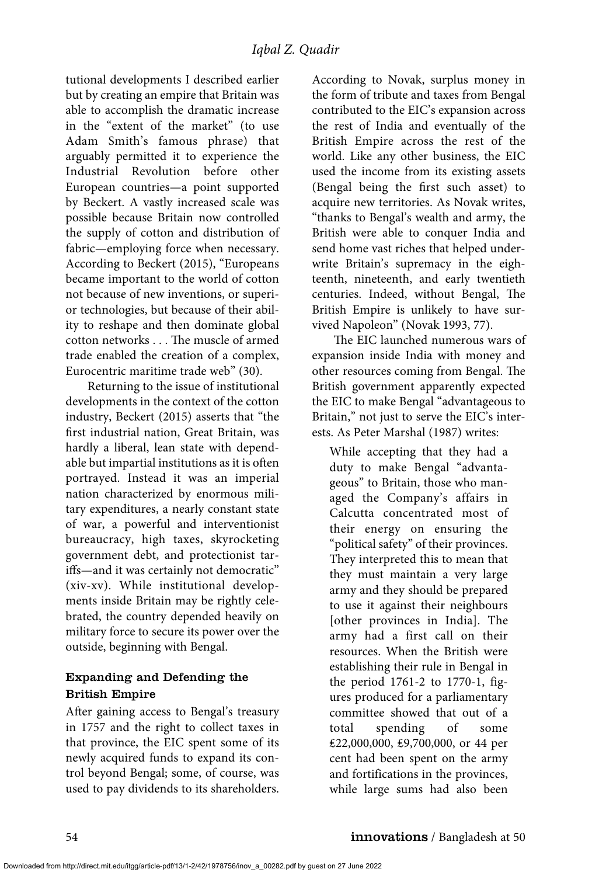tutional developments I described earlier but by creating an empire that Britain was able to accomplish the dramatic increase in the "extent of the market" (to use Adam Smith's famous phrase) that arguably permitted it to experience the Industrial Revolution before other European countries—a point supported by Beckert. A vastly increased scale was possible because Britain now controlled the supply of cotton and distribution of fabric—employing force when necessary. According to Beckert (2015), "Europeans became important to the world of cotton not because of new inventions, or superior technologies, but because of their ability to reshape and then dominate global cotton networks . . . The muscle of armed trade enabled the creation of a complex, Eurocentric maritime trade web" (30).

Returning to the issue of institutional developments in the context of the cotton industry, Beckert (2015) asserts that "the first industrial nation, Great Britain, was hardly a liberal, lean state with dependable but impartial institutions as it is often portrayed. Instead it was an imperial nation characterized by enormous military expenditures, a nearly constant state of war, a powerful and interventionist bureaucracy, high taxes, skyrocketing government debt, and protectionist tariffs—and it was certainly not democratic" (xiv-xv). While institutional developments inside Britain may be rightly celebrated, the country depended heavily on military force to secure its power over the outside, beginning with Bengal.

#### Expanding and Defending the British Empire

After gaining access to Bengal's treasury in 1757 and the right to collect taxes in that province, the EIC spent some of its newly acquired funds to expand its control beyond Bengal; some, of course, was used to pay dividends to its shareholders.

According to Novak, surplus money in the form of tribute and taxes from Bengal contributed to the EIC's expansion across the rest of India and eventually of the British Empire across the rest of the world. Like any other business, the EIC used the income from its existing assets (Bengal being the first such asset) to acquire new territories. As Novak writes, "thanks to Bengal's wealth and army, the British were able to conquer India and send home vast riches that helped underwrite Britain's supremacy in the eighteenth, nineteenth, and early twentieth centuries. Indeed, without Bengal, The British Empire is unlikely to have survived Napoleon" (Novak 1993, 77).

The EIC launched numerous wars of expansion inside India with money and other resources coming from Bengal. The British government apparently expected the EIC to make Bengal "advantageous to Britain," not just to serve the EIC's interests. As Peter Marshal (1987) writes:

While accepting that they had a duty to make Bengal "advantageous" to Britain, those who managed the Company's affairs in Calcutta concentrated most of their energy on ensuring the "political safety" of their provinces. They interpreted this to mean that they must maintain a very large army and they should be prepared to use it against their neighbours [other provinces in India]. The army had a first call on their resources. When the British were establishing their rule in Bengal in the period 1761-2 to 1770-1, figures produced for a parliamentary committee showed that out of a total spending of some ₤22,000,000, ₤9,700,000, or 44 per cent had been spent on the army and fortifications in the provinces, while large sums had also been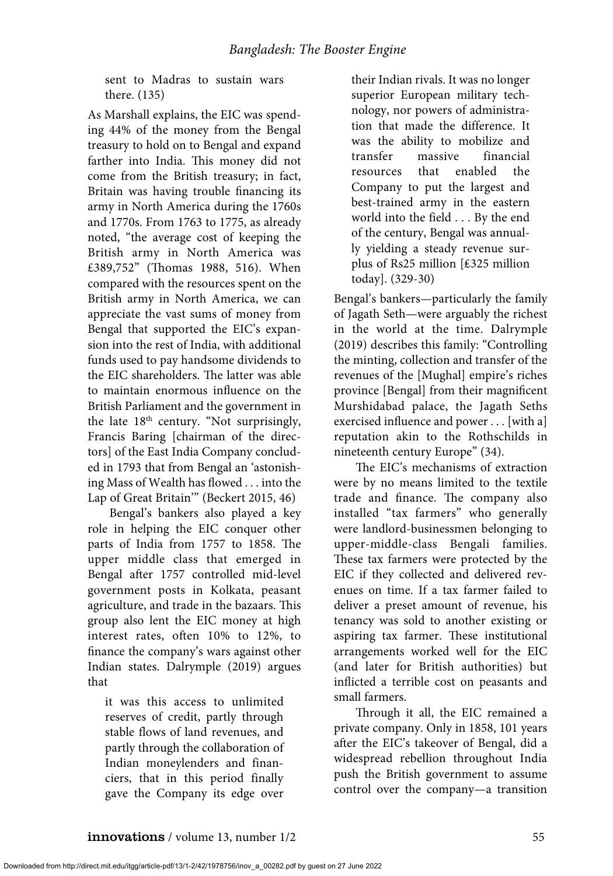sent to Madras to sustain wars there. (135)

As Marshall explains, the EIC was spending 44% of the money from the Bengal treasury to hold on to Bengal and expand farther into India. This money did not come from the British treasury; in fact, Britain was having trouble financing its army in North America during the 1760s and 1770s. From 1763 to 1775, as already noted, "the average cost of keeping the British army in North America was £389,752" (Thomas 1988, 516). When compared with the resources spent on the British army in North America, we can appreciate the vast sums of money from Bengal that supported the EIC's expansion into the rest of India, with additional funds used to pay handsome dividends to the EIC shareholders. The latter was able to maintain enormous influence on the British Parliament and the government in the late 18<sup>th</sup> century. "Not surprisingly, Francis Baring [chairman of the directors] of the East India Company concluded in 1793 that from Bengal an 'astonishing Mass of Wealth has flowed . . . into the Lap of Great Britain'" (Beckert 2015, 46)

Bengal's bankers also played a key role in helping the EIC conquer other parts of India from 1757 to 1858. The upper middle class that emerged in Bengal after 1757 controlled mid-level government posts in Kolkata, peasant agriculture, and trade in the bazaars. This group also lent the EIC money at high interest rates, often 10% to 12%, to finance the company's wars against other Indian states. Dalrymple (2019) argues that

it was this access to unlimited reserves of credit, partly through stable flows of land revenues, and partly through the collaboration of Indian moneylenders and financiers, that in this period finally gave the Company its edge over

their Indian rivals. It was no longer superior European military technology, nor powers of administration that made the difference. It was the ability to mobilize and transfer massive financial resources that enabled the Company to put the largest and best-trained army in the eastern world into the field . . . By the end of the century, Bengal was annually yielding a steady revenue surplus of Rs25 million [₤325 million today]. (329-30)

Bengal's bankers—particularly the family of Jagath Seth—were arguably the richest in the world at the time. Dalrymple (2019) describes this family: "Controlling the minting, collection and transfer of the revenues of the [Mughal] empire's riches province [Bengal] from their magnificent Murshidabad palace, the Jagath Seths exercised influence and power . . . [with a] reputation akin to the Rothschilds in nineteenth century Europe" (34).

The EIC's mechanisms of extraction were by no means limited to the textile trade and finance. The company also installed "tax farmers" who generally were landlord-businessmen belonging to upper-middle-class Bengali families. These tax farmers were protected by the EIC if they collected and delivered revenues on time. If a tax farmer failed to deliver a preset amount of revenue, his tenancy was sold to another existing or aspiring tax farmer. These institutional arrangements worked well for the EIC (and later for British authorities) but inflicted a terrible cost on peasants and small farmers.

Through it all, the EIC remained a private company. Only in 1858, 101 years after the EIC's takeover of Bengal, did a widespread rebellion throughout India push the British government to assume control over the company—a transition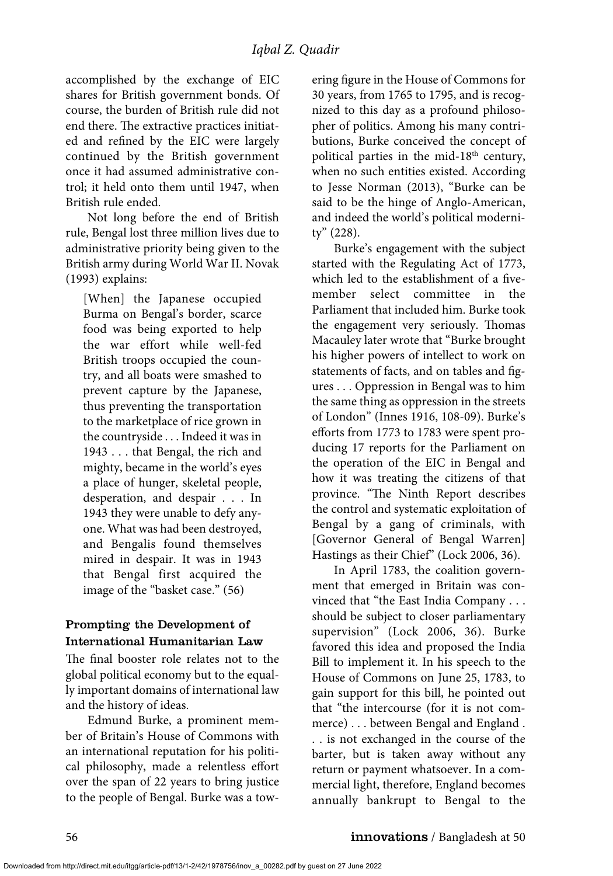accomplished by the exchange of EIC shares for British government bonds. Of course, the burden of British rule did not end there. The extractive practices initiated and refined by the EIC were largely continued by the British government once it had assumed administrative control; it held onto them until 1947, when British rule ended.

Not long before the end of British rule, Bengal lost three million lives due to administrative priority being given to the British army during World War II. Novak (1993) explains:

[When] the Japanese occupied Burma on Bengal's border, scarce food was being exported to help the war effort while well-fed British troops occupied the country, and all boats were smashed to prevent capture by the Japanese, thus preventing the transportation to the marketplace of rice grown in the countryside . . . Indeed it was in 1943 . . . that Bengal, the rich and mighty, became in the world's eyes a place of hunger, skeletal people, desperation, and despair . . . In 1943 they were unable to defy anyone. What was had been destroyed, and Bengalis found themselves mired in despair. It was in 1943 that Bengal first acquired the image of the "basket case." (56)

#### Prompting the Development of International Humanitarian Law

The final booster role relates not to the global political economy but to the equally important domains of international law and the history of ideas.

Edmund Burke, a prominent member of Britain's House of Commons with an international reputation for his political philosophy, made a relentless effort over the span of 22 years to bring justice to the people of Bengal. Burke was a towering figure in the House of Commons for 30 years, from 1765 to 1795, and is recognized to this day as a profound philosopher of politics. Among his many contributions, Burke conceived the concept of political parties in the mid- $18<sup>th</sup>$  century, when no such entities existed. According to Jesse Norman (2013), "Burke can be said to be the hinge of Anglo-American, and indeed the world's political modernity" (228).

Burke's engagement with the subject started with the Regulating Act of 1773, which led to the establishment of a fivemember select committee in the Parliament that included him. Burke took the engagement very seriously. Thomas Macauley later wrote that "Burke brought his higher powers of intellect to work on statements of facts, and on tables and figures . . . Oppression in Bengal was to him the same thing as oppression in the streets of London" (Innes 1916, 108-09). Burke's efforts from 1773 to 1783 were spent producing 17 reports for the Parliament on the operation of the EIC in Bengal and how it was treating the citizens of that province. "The Ninth Report describes the control and systematic exploitation of Bengal by a gang of criminals, with [Governor General of Bengal Warren] Hastings as their Chief" (Lock 2006, 36).

In April 1783, the coalition government that emerged in Britain was convinced that "the East India Company . . . should be subject to closer parliamentary supervision" (Lock 2006, 36). Burke favored this idea and proposed the India Bill to implement it. In his speech to the House of Commons on June 25, 1783, to gain support for this bill, he pointed out that "the intercourse (for it is not commerce) . . . between Bengal and England . . . is not exchanged in the course of the barter, but is taken away without any return or payment whatsoever. In a commercial light, therefore, England becomes annually bankrupt to Bengal to the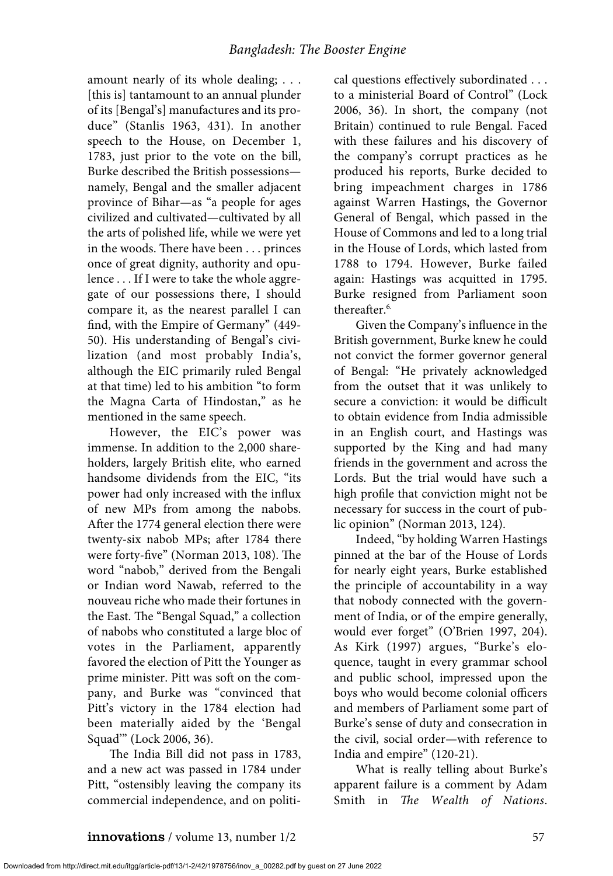amount nearly of its whole dealing; . . . [this is] tantamount to an annual plunder of its [Bengal's] manufactures and its produce" (Stanlis 1963, 431). In another speech to the House, on December 1, 1783, just prior to the vote on the bill, Burke described the British possessions namely, Bengal and the smaller adjacent province of Bihar—as "a people for ages civilized and cultivated—cultivated by all the arts of polished life, while we were yet in the woods. There have been . . . princes once of great dignity, authority and opulence . . . If I were to take the whole aggregate of our possessions there, I should compare it, as the nearest parallel I can find, with the Empire of Germany" (449- 50). His understanding of Bengal's civilization (and most probably India's, although the EIC primarily ruled Bengal at that time) led to his ambition "to form the Magna Carta of Hindostan," as he mentioned in the same speech.

However, the EIC's power was immense. In addition to the 2,000 shareholders, largely British elite, who earned handsome dividends from the EIC, "its power had only increased with the influx of new MPs from among the nabobs. After the 1774 general election there were twenty-six nabob MPs; after 1784 there were forty-five" (Norman 2013, 108). The word "nabob," derived from the Bengali or Indian word Nawab, referred to the nouveau riche who made their fortunes in the East. The "Bengal Squad," a collection of nabobs who constituted a large bloc of votes in the Parliament, apparently favored the election of Pitt the Younger as prime minister. Pitt was soft on the company, and Burke was "convinced that Pitt's victory in the 1784 election had been materially aided by the 'Bengal Squad'" (Lock 2006, 36).

The India Bill did not pass in 1783, and a new act was passed in 1784 under Pitt, "ostensibly leaving the company its commercial independence, and on political questions effectively subordinated . . . to a ministerial Board of Control" (Lock 2006, 36). In short, the company (not Britain) continued to rule Bengal. Faced with these failures and his discovery of the company's corrupt practices as he produced his reports, Burke decided to bring impeachment charges in 1786 against Warren Hastings, the Governor General of Bengal, which passed in the House of Commons and led to a long trial in the House of Lords, which lasted from 1788 to 1794. However, Burke failed again: Hastings was acquitted in 1795. Burke resigned from Parliament soon thereafter.<sup>6.</sup>

Given the Company's influence in the British government, Burke knew he could not convict the former governor general of Bengal: "He privately acknowledged from the outset that it was unlikely to secure a conviction: it would be difficult to obtain evidence from India admissible in an English court, and Hastings was supported by the King and had many friends in the government and across the Lords. But the trial would have such a high profile that conviction might not be necessary for success in the court of public opinion" (Norman 2013, 124).

Indeed, "by holding Warren Hastings pinned at the bar of the House of Lords for nearly eight years, Burke established the principle of accountability in a way that nobody connected with the government of India, or of the empire generally, would ever forget" (O'Brien 1997, 204). As Kirk (1997) argues, "Burke's eloquence, taught in every grammar school and public school, impressed upon the boys who would become colonial officers and members of Parliament some part of Burke's sense of duty and consecration in the civil, social order—with reference to India and empire" (120-21).

What is really telling about Burke's apparent failure is a comment by Adam Smith in *The Wealth of Nations*.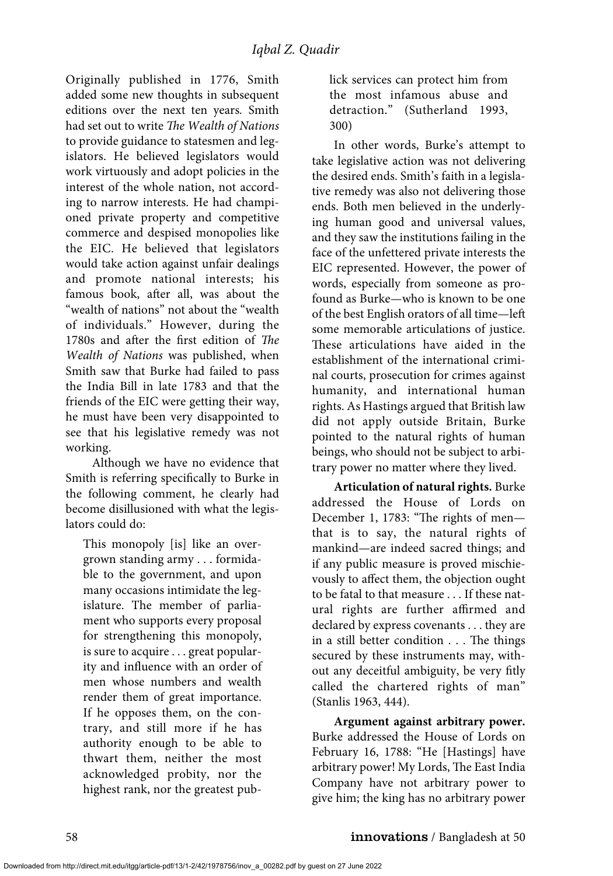Originally published in 1776, Smith added some new thoughts in subsequent editions over the next ten years*.* Smith had set out to write *The Wealth of Nations* to provide guidance to statesmen and legislators. He believed legislators would work virtuously and adopt policies in the interest of the whole nation, not according to narrow interests. He had championed private property and competitive commerce and despised monopolies like the EIC. He believed that legislators would take action against unfair dealings and promote national interests; his famous book, after all, was about the "wealth of nations" not about the "wealth of individuals." However, during the 1780s and after the first edition of *The Wealth of Nations* was published, when Smith saw that Burke had failed to pass the India Bill in late 1783 and that the friends of the EIC were getting their way, he must have been very disappointed to see that his legislative remedy was not working.

Although we have no evidence that Smith is referring specifically to Burke in the following comment, he clearly had become disillusioned with what the legislators could do:

This monopoly [is] like an overgrown standing army . . . formidable to the government, and upon many occasions intimidate the legislature. The member of parliament who supports every proposal for strengthening this monopoly, is sure to acquire . . . great popularity and influence with an order of men whose numbers and wealth render them of great importance. If he opposes them, on the contrary, and still more if he has authority enough to be able to thwart them, neither the most acknowledged probity, nor the highest rank, nor the greatest publick services can protect him from the most infamous abuse and detraction." (Sutherland 1993, 300)

In other words, Burke's attempt to take legislative action was not delivering the desired ends. Smith's faith in a legislative remedy was also not delivering those ends. Both men believed in the underlying human good and universal values, and they saw the institutions failing in the face of the unfettered private interests the EIC represented. However, the power of words, especially from someone as profound as Burke—who is known to be one of the best English orators of all time—left some memorable articulations of justice. These articulations have aided in the establishment of the international criminal courts, prosecution for crimes against humanity, and international human rights. As Hastings argued that British law did not apply outside Britain, Burke pointed to the natural rights of human beings, who should not be subject to arbitrary power no matter where they lived.

**Articulation of natural rights.** Burke addressed the House of Lords on December 1, 1783: "The rights of men that is to say, the natural rights of mankind—are indeed sacred things; and if any public measure is proved mischievously to affect them, the objection ought to be fatal to that measure . . . If these natural rights are further affirmed and declared by express covenants . . . they are in a still better condition . . . The things secured by these instruments may, without any deceitful ambiguity, be very fitly called the chartered rights of man" (Stanlis 1963, 444).

**Argument against arbitrary power.** Burke addressed the House of Lords on February 16, 1788: "He [Hastings] have arbitrary power! My Lords, The East India Company have not arbitrary power to give him; the king has no arbitrary power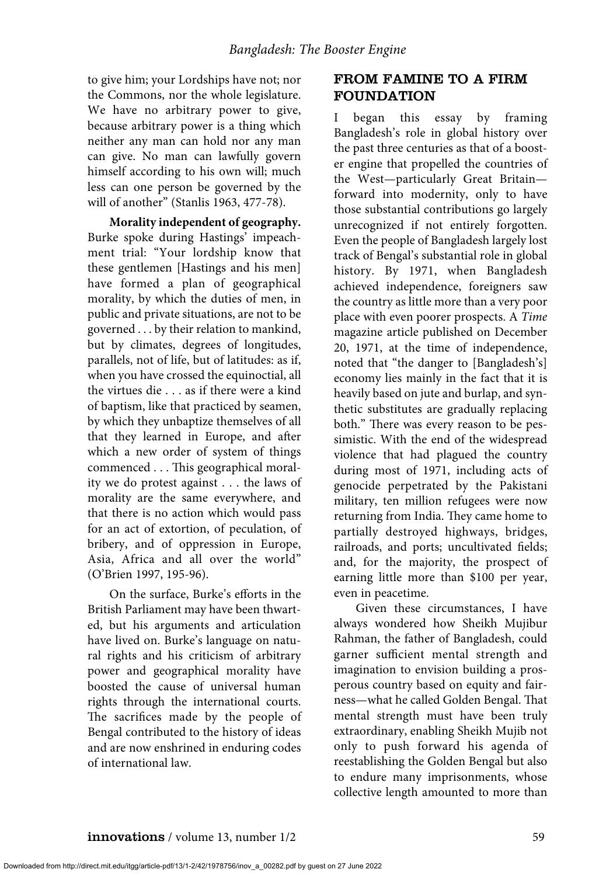to give him; your Lordships have not; nor the Commons, nor the whole legislature. We have no arbitrary power to give, because arbitrary power is a thing which neither any man can hold nor any man can give. No man can lawfully govern himself according to his own will; much less can one person be governed by the will of another" (Stanlis 1963, 477-78).

**Morality independent of geography.** Burke spoke during Hastings' impeachment trial: "Your lordship know that these gentlemen [Hastings and his men] have formed a plan of geographical morality, by which the duties of men, in public and private situations, are not to be governed . . . by their relation to mankind, but by climates, degrees of longitudes, parallels, not of life, but of latitudes: as if, when you have crossed the equinoctial, all the virtues die . . . as if there were a kind of baptism, like that practiced by seamen, by which they unbaptize themselves of all that they learned in Europe, and after which a new order of system of things commenced . . . This geographical morality we do protest against . . . the laws of morality are the same everywhere, and that there is no action which would pass for an act of extortion, of peculation, of bribery, and of oppression in Europe, Asia, Africa and all over the world" (O'Brien 1997, 195-96).

On the surface, Burke's efforts in the British Parliament may have been thwarted, but his arguments and articulation have lived on. Burke's language on natural rights and his criticism of arbitrary power and geographical morality have boosted the cause of universal human rights through the international courts. The sacrifices made by the people of Bengal contributed to the history of ideas and are now enshrined in enduring codes of international law.

# FROM FAMINE TO A FIRM FOUNDATION

I began this essay by framing Bangladesh's role in global history over the past three centuries as that of a booster engine that propelled the countries of the West—particularly Great Britain forward into modernity, only to have those substantial contributions go largely unrecognized if not entirely forgotten. Even the people of Bangladesh largely lost track of Bengal's substantial role in global history. By 1971, when Bangladesh achieved independence, foreigners saw the country as little more than a very poor place with even poorer prospects. A *Time* magazine article published on December 20, 1971, at the time of independence, noted that "the danger to [Bangladesh's] economy lies mainly in the fact that it is heavily based on jute and burlap, and synthetic substitutes are gradually replacing both." There was every reason to be pessimistic. With the end of the widespread violence that had plagued the country during most of 1971, including acts of genocide perpetrated by the Pakistani military, ten million refugees were now returning from India. They came home to partially destroyed highways, bridges, railroads, and ports; uncultivated fields; and, for the majority, the prospect of earning little more than \$100 per year, even in peacetime.

Given these circumstances, I have always wondered how Sheikh Mujibur Rahman, the father of Bangladesh, could garner sufficient mental strength and imagination to envision building a prosperous country based on equity and fairness—what he called Golden Bengal. That mental strength must have been truly extraordinary, enabling Sheikh Mujib not only to push forward his agenda of reestablishing the Golden Bengal but also to endure many imprisonments, whose collective length amounted to more than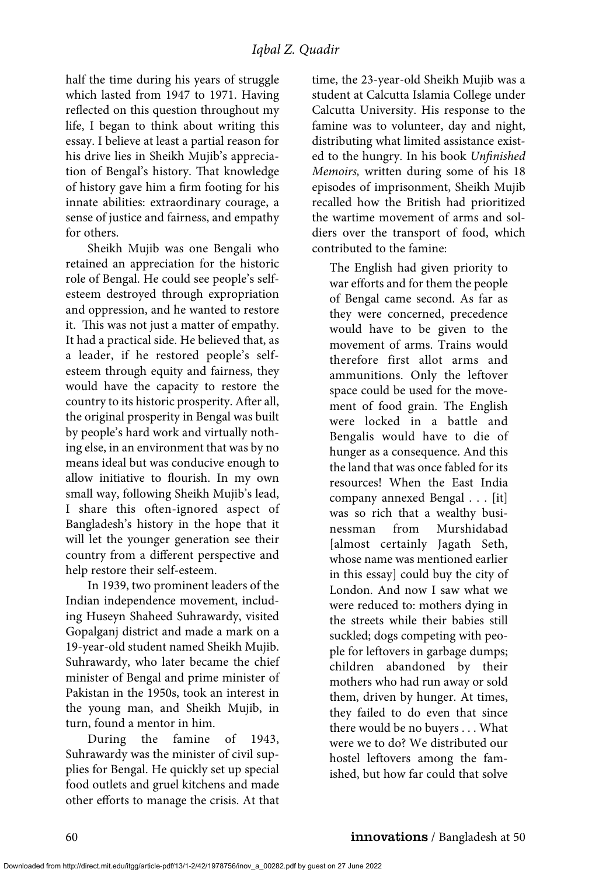half the time during his years of struggle which lasted from 1947 to 1971. Having reflected on this question throughout my life, I began to think about writing this essay. I believe at least a partial reason for his drive lies in Sheikh Mujib's appreciation of Bengal's history. That knowledge of history gave him a firm footing for his innate abilities: extraordinary courage, a sense of justice and fairness, and empathy for others.

Sheikh Mujib was one Bengali who retained an appreciation for the historic role of Bengal. He could see people's selfesteem destroyed through expropriation and oppression, and he wanted to restore it. This was not just a matter of empathy. It had a practical side. He believed that, as a leader, if he restored people's selfesteem through equity and fairness, they would have the capacity to restore the country to its historic prosperity. After all, the original prosperity in Bengal was built by people's hard work and virtually nothing else, in an environment that was by no means ideal but was conducive enough to allow initiative to flourish. In my own small way, following Sheikh Mujib's lead, I share this often-ignored aspect of Bangladesh's history in the hope that it will let the younger generation see their country from a different perspective and help restore their self-esteem.

In 1939, two prominent leaders of the Indian independence movement, including Huseyn Shaheed Suhrawardy, visited Gopalganj district and made a mark on a 19-year-old student named Sheikh Mujib. Suhrawardy, who later became the chief minister of Bengal and prime minister of Pakistan in the 1950s, took an interest in the young man, and Sheikh Mujib, in turn, found a mentor in him.

During the famine of 1943, Suhrawardy was the minister of civil supplies for Bengal. He quickly set up special food outlets and gruel kitchens and made other efforts to manage the crisis. At that time, the 23-year-old Sheikh Mujib was a student at Calcutta Islamia College under Calcutta University. His response to the famine was to volunteer, day and night, distributing what limited assistance existed to the hungry. In his book *Unfinished Memoirs,* written during some of his 18 episodes of imprisonment, Sheikh Mujib recalled how the British had prioritized the wartime movement of arms and soldiers over the transport of food, which contributed to the famine:

The English had given priority to war efforts and for them the people of Bengal came second. As far as they were concerned, precedence would have to be given to the movement of arms. Trains would therefore first allot arms and ammunitions. Only the leftover space could be used for the movement of food grain. The English were locked in a battle and Bengalis would have to die of hunger as a consequence. And this the land that was once fabled for its resources! When the East India company annexed Bengal . . . [it] was so rich that a wealthy businessman from Murshidabad [almost certainly Jagath Seth, whose name was mentioned earlier in this essay] could buy the city of London. And now I saw what we were reduced to: mothers dying in the streets while their babies still suckled; dogs competing with people for leftovers in garbage dumps; children abandoned by their mothers who had run away or sold them, driven by hunger. At times, they failed to do even that since there would be no buyers . . . What were we to do? We distributed our hostel leftovers among the famished, but how far could that solve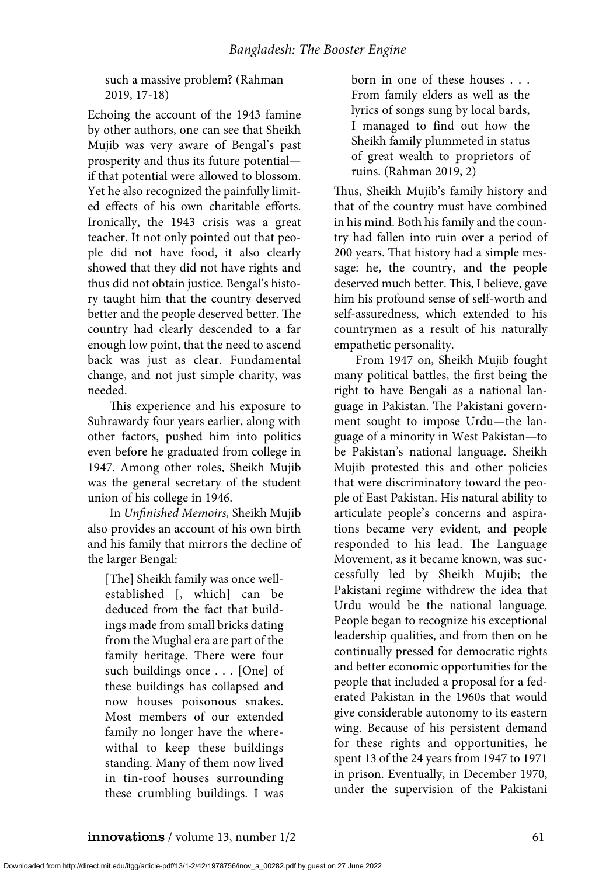such a massive problem? (Rahman 2019, 17-18)

Echoing the account of the 1943 famine by other authors, one can see that Sheikh Mujib was very aware of Bengal's past prosperity and thus its future potential if that potential were allowed to blossom. Yet he also recognized the painfully limited effects of his own charitable efforts. Ironically, the 1943 crisis was a great teacher. It not only pointed out that people did not have food, it also clearly showed that they did not have rights and thus did not obtain justice. Bengal's history taught him that the country deserved better and the people deserved better. The country had clearly descended to a far enough low point, that the need to ascend back was just as clear. Fundamental change, and not just simple charity, was needed.

This experience and his exposure to Suhrawardy four years earlier, along with other factors, pushed him into politics even before he graduated from college in 1947. Among other roles, Sheikh Mujib was the general secretary of the student union of his college in 1946.

In *Unfinished Memoirs,* Sheikh Mujib also provides an account of his own birth and his family that mirrors the decline of the larger Bengal:

[The] Sheikh family was once wellestablished [, which] can be deduced from the fact that buildings made from small bricks dating from the Mughal era are part of the family heritage. There were four such buildings once . . . [One] of these buildings has collapsed and now houses poisonous snakes. Most members of our extended family no longer have the wherewithal to keep these buildings standing. Many of them now lived in tin-roof houses surrounding these crumbling buildings. I was

born in one of these houses . . . From family elders as well as the lyrics of songs sung by local bards, I managed to find out how the Sheikh family plummeted in status of great wealth to proprietors of ruins. (Rahman 2019, 2)

Thus, Sheikh Mujib's family history and that of the country must have combined in his mind. Both his family and the country had fallen into ruin over a period of 200 years. That history had a simple message: he, the country, and the people deserved much better. This, I believe, gave him his profound sense of self-worth and self-assuredness, which extended to his countrymen as a result of his naturally empathetic personality.

From 1947 on, Sheikh Mujib fought many political battles, the first being the right to have Bengali as a national language in Pakistan. The Pakistani government sought to impose Urdu—the language of a minority in West Pakistan—to be Pakistan's national language. Sheikh Mujib protested this and other policies that were discriminatory toward the people of East Pakistan. His natural ability to articulate people's concerns and aspirations became very evident, and people responded to his lead. The Language Movement, as it became known, was successfully led by Sheikh Mujib; the Pakistani regime withdrew the idea that Urdu would be the national language. People began to recognize his exceptional leadership qualities, and from then on he continually pressed for democratic rights and better economic opportunities for the people that included a proposal for a federated Pakistan in the 1960s that would give considerable autonomy to its eastern wing. Because of his persistent demand for these rights and opportunities, he spent 13 of the 24 years from 1947 to 1971 in prison. Eventually, in December 1970, under the supervision of the Pakistani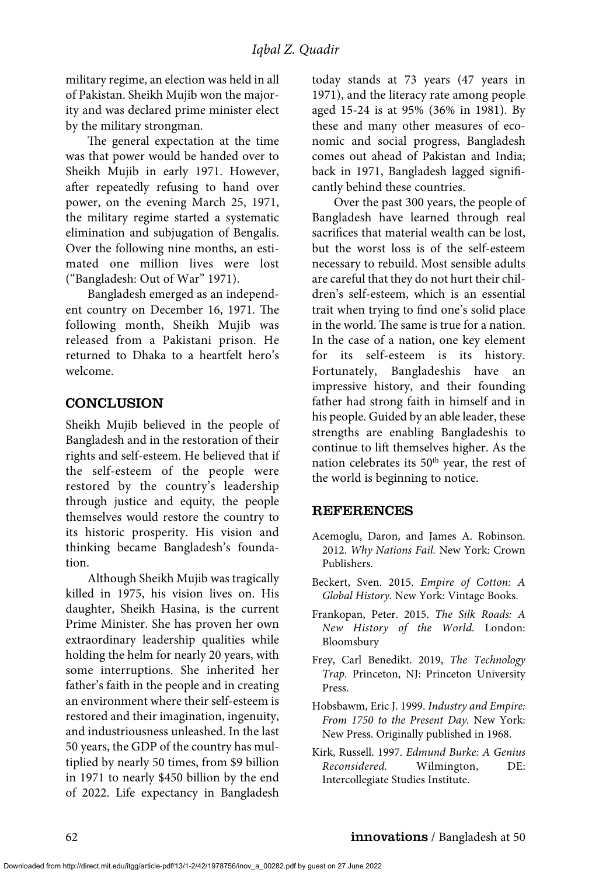military regime, an election was held in all of Pakistan. Sheikh Mujib won the majority and was declared prime minister elect by the military strongman.

The general expectation at the time was that power would be handed over to Sheikh Mujib in early 1971. However, after repeatedly refusing to hand over power, on the evening March 25, 1971, the military regime started a systematic elimination and subjugation of Bengalis. Over the following nine months, an estimated one million lives were lost ("Bangladesh: Out of War" 1971).

Bangladesh emerged as an independent country on December 16, 1971. The following month, Sheikh Mujib was released from a Pakistani prison. He returned to Dhaka to a heartfelt hero's welcome.

#### CONCLUSION

Sheikh Mujib believed in the people of Bangladesh and in the restoration of their rights and self-esteem. He believed that if the self-esteem of the people were restored by the country's leadership through justice and equity, the people themselves would restore the country to its historic prosperity. His vision and thinking became Bangladesh's foundation.

Although Sheikh Mujib was tragically killed in 1975, his vision lives on. His daughter, Sheikh Hasina, is the current Prime Minister. She has proven her own extraordinary leadership qualities while holding the helm for nearly 20 years, with some interruptions. She inherited her father's faith in the people and in creating an environment where their self-esteem is restored and their imagination, ingenuity, and industriousness unleashed. In the last 50 years, the GDP of the country has multiplied by nearly 50 times, from \$9 billion in 1971 to nearly \$450 billion by the end of 2022. Life expectancy in Bangladesh

today stands at 73 years (47 years in 1971), and the literacy rate among people aged 15-24 is at 95% (36% in 1981). By these and many other measures of economic and social progress, Bangladesh comes out ahead of Pakistan and India; back in 1971, Bangladesh lagged significantly behind these countries.

Over the past 300 years, the people of Bangladesh have learned through real sacrifices that material wealth can be lost, but the worst loss is of the self-esteem necessary to rebuild. Most sensible adults are careful that they do not hurt their children's self-esteem, which is an essential trait when trying to find one's solid place in the world. The same is true for a nation. In the case of a nation, one key element for its self-esteem is its history. Fortunately, Bangladeshis have an impressive history, and their founding father had strong faith in himself and in his people. Guided by an able leader, these strengths are enabling Bangladeshis to continue to lift themselves higher. As the nation celebrates its  $50<sup>th</sup>$  year, the rest of the world is beginning to notice.

#### REFERENCES

- Acemoglu, Daron, and James A. Robinson. 2012. *Why Nations Fail.* New York: Crown Publishers.
- Beckert, Sven. 2015. *Empire of Cotton: A Global History*. New York: Vintage Books.
- Frankopan, Peter. 2015. *The Silk Roads: A New History of the World.* London: Bloomsbury
- Frey, Carl Benedikt. 2019, *The Technology Trap.* Princeton, NJ: Princeton University Press.
- Hobsbawm, Eric J. 1999. *Industry and Empire: From 1750 to the Present Day.* New York: New Press. Originally published in 1968.
- Kirk, Russell. 1997. *Edmund Burke: A Genius Reconsidered.* Wilmington, DE: Intercollegiate Studies Institute.